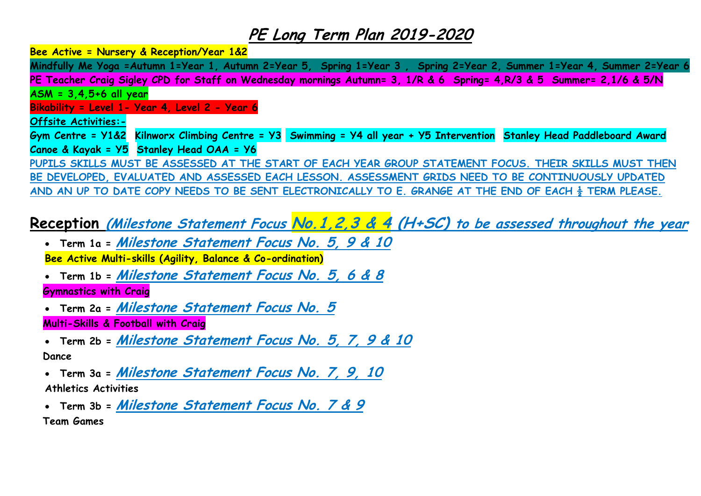**Bee Active = Nursery & Reception/Year 1&2** 

**Mindfully Me Yoga =Autumn 1=Year 1, Autumn 2=Year 5, Spring 1=Year 3 , Spring 2=Year 2, Summer 1=Year 4, Summer 2=Year 6 PE Teacher Craig Sigley CPD for Staff on Wednesday mornings Autumn= 3, 1/R & 6 Spring= 4,R/3 & 5 Summer= 2,1/6 & 5/N ASM = 3,4,5+6 all year Bikability = Level 1- Year 4, Level 2 - Year 6 Offsite Activities:- Gym Centre = Y1&2 Kilnworx Climbing Centre = Y3 Swimming = Y4 all year + Y5 Intervention Stanley Head Paddleboard Award Canoe & Kayak = Y5 Stanley Head OAA = Y6 PUPILS SKILLS MUST BE ASSESSED AT THE START OF EACH YEAR GROUP STATEMENT FOCUS. THEIR SKILLS MUST THEN BE DEVELOPED, EVALUATED AND ASSESSED EACH LESSON. ASSESSMENT GRIDS NEED TO BE CONTINUOUSLY UPDATED AND AN UP TO DATE COPY NEEDS TO BE SENT ELECTRONICALLY TO E. GRANGE AT THE END OF EACH ½ TERM PLEASE.**

# **Reception (Milestone Statement Focus No.1,2,3 & 4 (H+SC) to be assessed throughout the year**

- **Term 1a = Milestone Statement Focus No. 5, 9 & 10 Bee Active Multi-skills (Agility, Balance & Co-ordination)**
- **Term 1b = Milestone Statement Focus No. 5, 6 & 8**

#### **Gymnastics with Craig**

- **Term 2a = Milestone Statement Focus No. 5 Multi-Skills & Football with Craig**
- **Term 2b = Milestone Statement Focus No. 5, 7, 9 & 10 Dance**
- **Term 3a = Milestone Statement Focus No. 7, 9, 10 Athletics Activities**
- **Term 3b = Milestone Statement Focus No. 7 & 9 Team Games**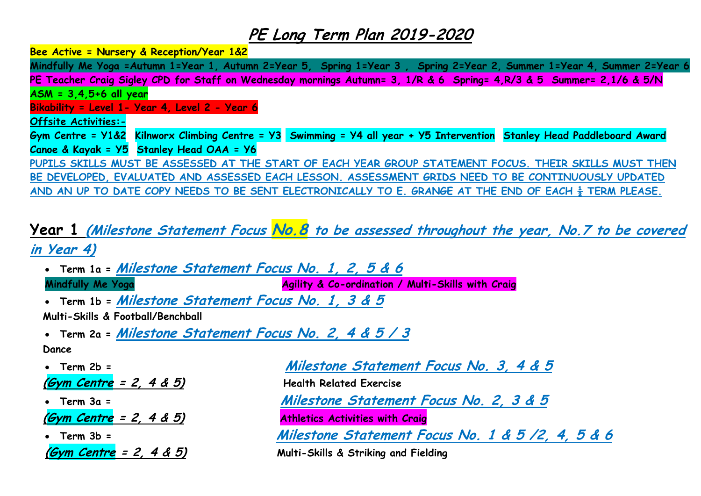**Bee Active = Nursery & Reception/Year 1&2** 

**Mindfully Me Yoga =Autumn 1=Year 1, Autumn 2=Year 5, Spring 1=Year 3 , Spring 2=Year 2, Summer 1=Year 4, Summer 2=Year 6 PE Teacher Craig Sigley CPD for Staff on Wednesday mornings Autumn= 3, 1/R & 6 Spring= 4,R/3 & 5 Summer= 2,1/6 & 5/N ASM = 3,4,5+6 all year Bikability = Level 1- Year 4, Level 2 - Year 6 Offsite Activities:- Gym Centre = Y1&2 Kilnworx Climbing Centre = Y3 Swimming = Y4 all year + Y5 Intervention Stanley Head Paddleboard Award Canoe & Kayak = Y5 Stanley Head OAA = Y6 PUPILS SKILLS MUST BE ASSESSED AT THE START OF EACH YEAR GROUP STATEMENT FOCUS. THEIR SKILLS MUST THEN BE DEVELOPED, EVALUATED AND ASSESSED EACH LESSON. ASSESSMENT GRIDS NEED TO BE CONTINUOUSLY UPDATED AND AN UP TO DATE COPY NEEDS TO BE SENT ELECTRONICALLY TO E. GRANGE AT THE END OF EACH ½ TERM PLEASE.**

# **Year 1 (Milestone Statement Focus No.8 to be assessed throughout the year, No.7 to be covered in Year 4)**

- **Term 1a = Milestone Statement Focus No. 1, 2, 5 & 6 Mindfully Me Yoga Agility & Co-ordination / Multi-Skills with Craig**
- **Term 1b = Milestone Statement Focus No. 1, 3 & 5**
- **Multi-Skills & Football/Benchball**
- **Term 2a = Milestone Statement Focus No. 2, 4 & 5 / 3 Dance**
- **(Gym Centre = 2, 4 & 5) Health Related Exercise (Gym Centre = 2, 4 & 5) Athletics Activities with Craig (Gym Centre = 2, 4 & 5) Multi-Skills & Striking and Fielding**

 **Term 2b = Milestone Statement Focus No. 3, 4 & 5 Term 3a = Milestone Statement Focus No. 2, 3 & 5 Term 3b = Milestone Statement Focus No. 1 & 5 /2, 4, 5 & 6**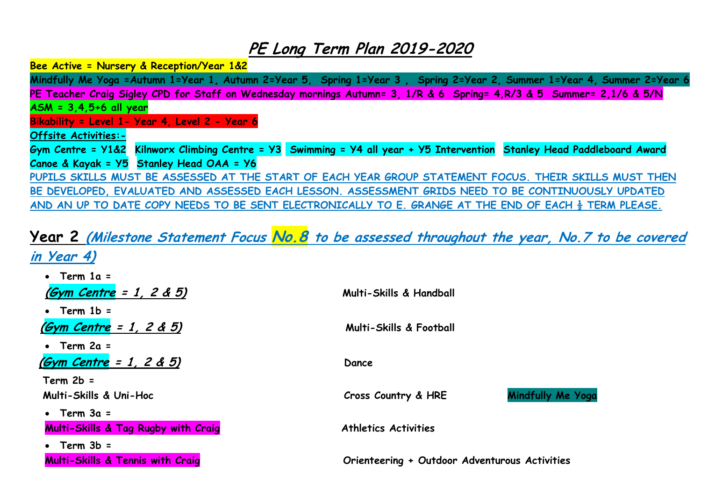**Bee Active = Nursery & Reception/Year 1&2** 

**Mindfully Me Yoga =Autumn 1=Year 1, Autumn 2=Year 5, Spring 1=Year 3 , Spring 2=Year 2, Summer 1=Year 4, Summer 2=Year 6 PE Teacher Craig Sigley CPD for Staff on Wednesday mornings Autumn= 3, 1/R & 6 Spring= 4,R/3 & 5 Summer= 2,1/6 & 5/N ASM = 3,4,5+6 all year Bikability = Level 1- Year 4, Level 2 - Year 6 Offsite Activities:- Gym Centre = Y1&2 Kilnworx Climbing Centre = Y3 Swimming = Y4 all year + Y5 Intervention Stanley Head Paddleboard Award Canoe & Kayak = Y5 Stanley Head OAA = Y6 PUPILS SKILLS MUST BE ASSESSED AT THE START OF EACH YEAR GROUP STATEMENT FOCUS. THEIR SKILLS MUST THEN BE DEVELOPED, EVALUATED AND ASSESSED EACH LESSON. ASSESSMENT GRIDS NEED TO BE CONTINUOUSLY UPDATED AND AN UP TO DATE COPY NEEDS TO BE SENT ELECTRONICALLY TO E. GRANGE AT THE END OF EACH ½ TERM PLEASE.**

# **Year 2 (Milestone Statement Focus No.8 to be assessed throughout the year, No.7 to be covered in Year 4)**

| • Term $1a =$                               |                                               |                   |
|---------------------------------------------|-----------------------------------------------|-------------------|
| <u>(Gym Centre</u> = 1, 2 & 5)              | Multi-Skills & Handball                       |                   |
| $\bullet$ Term 1b =                         |                                               |                   |
| (Gym Centre = 1, 2 & 5)                     | <b>Multi-Skills &amp; Football</b>            |                   |
| $\bullet$ Term 2a =                         |                                               |                   |
| $(Gym$ Centre = 1, 2 & 5)                   | Dance                                         |                   |
| $Term 2b =$                                 |                                               |                   |
| Multi-Skills & Uni-Hoc                      | Cross Country & HRE                           | Mindfully Me Yoga |
| • Term $3a =$                               |                                               |                   |
| Multi-Skills & Tag Rugby with Craig         | <b>Athletics Activities</b>                   |                   |
| $Term 3b =$                                 |                                               |                   |
| <b>Multi-Skills &amp; Tennis with Craig</b> | Orienteering + Outdoor Adventurous Activities |                   |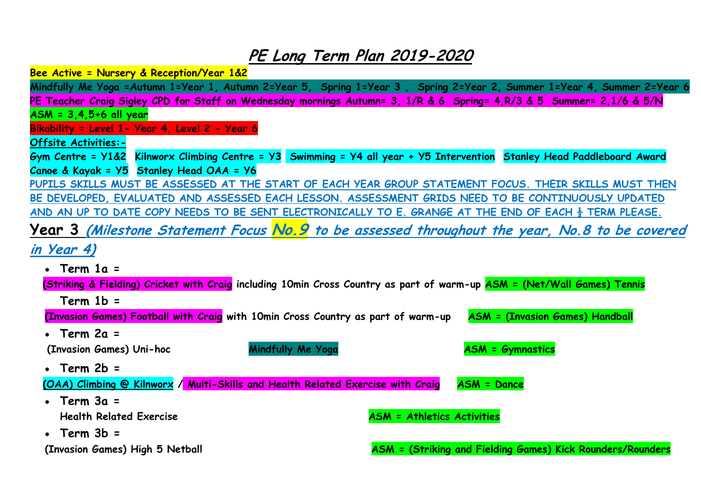**Bee Active = Nursery & Reception/Year 1&2** 

**Mindfully Me Yoga =Autumn 1=Year 1, Autumn 2=Year 5, Spring 1=Year 3 , Spring 2=Year 2, Summer 1=Year 4, Summer 2=Year 6 PE Teacher Craig Sigley CPD for Staff on Wednesday mornings Autumn= 3, 1/R & 6 Spring= 4,R/3 & 5 Summer= 2,1/6 & 5/N ASM = 3,4,5+6 all year Bikability = Level 1- Year 4, Level 2 - Year 6 Offsite Activities:- Gym Centre = Y1&2 Kilnworx Climbing Centre = Y3 Swimming = Y4 all year + Y5 Intervention Stanley Head Paddleboard Award Canoe & Kayak = Y5 Stanley Head OAA = Y6 PUPILS SKILLS MUST BE ASSESSED AT THE START OF EACH YEAR GROUP STATEMENT FOCUS. THEIR SKILLS MUST THEN BE DEVELOPED, EVALUATED AND ASSESSED EACH LESSON. ASSESSMENT GRIDS NEED TO BE CONTINUOUSLY UPDATED AND AN UP TO DATE COPY NEEDS TO BE SENT ELECTRONICALLY TO E. GRANGE AT THE END OF EACH ½ TERM PLEASE. Year 3 (Milestone Statement Focus No.9 to be assessed throughout the year, No.8 to be covered in Year 4) • Term 1a = (Striking & Fielding) Cricket with Craig including 10min Cross Country as part of warm-up ASM = (Net/Wall Games) Tennis Term 1b** = **(Invasion Games) Football with Craig with 10min Cross Country as part of warm-up ASM = (Invasion Games) Handball Term 2a = Milestone Statement Focus No. 3 & 6 (ASM= 2 & 4) (Invasion Games)** Uni-hoc **Mindfully Me Yoga** ASM = Gymnastics **• Term** 2b =  **(OAA) Climbing @ Kilnworx / Multi-Skills and Health Related Exercise with Craig ASM = Dance Term 3a = Milestone Statement Focus No.3, 4, 5 & 6 (ASM= 2, 3 & 6) Health Related Exercise ASM = Athletics Activities • Term 3b = (Invasion Games) High 5 Netball ASM = (Striking and Fielding Games) Kick Rounders/Rounders**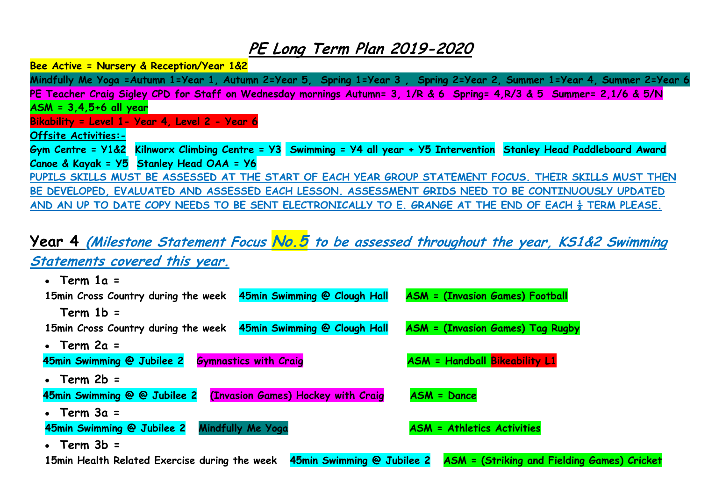**Bee Active = Nursery & Reception/Year 1&2** 

**Mindfully Me Yoga =Autumn 1=Year 1, Autumn 2=Year 5, Spring 1=Year 3 , Spring 2=Year 2, Summer 1=Year 4, Summer 2=Year 6 PE Teacher Craig Sigley CPD for Staff on Wednesday mornings Autumn= 3, 1/R & 6 Spring= 4,R/3 & 5 Summer= 2,1/6 & 5/N ASM = 3,4,5+6 all year Bikability = Level 1- Year 4, Level 2 - Year 6 Offsite Activities:- Gym Centre = Y1&2 Kilnworx Climbing Centre = Y3 Swimming = Y4 all year + Y5 Intervention Stanley Head Paddleboard Award Canoe & Kayak = Y5 Stanley Head OAA = Y6 PUPILS SKILLS MUST BE ASSESSED AT THE START OF EACH YEAR GROUP STATEMENT FOCUS. THEIR SKILLS MUST THEN** 

**BE DEVELOPED, EVALUATED AND ASSESSED EACH LESSON. ASSESSMENT GRIDS NEED TO BE CONTINUOUSLY UPDATED AND AN UP TO DATE COPY NEEDS TO BE SENT ELECTRONICALLY TO E. GRANGE AT THE END OF EACH ½ TERM PLEASE.**

## **Year 4 (Milestone Statement Focus No.5 to be assessed throughout the year, KS1&2 Swimming Statements covered this year.**

| $\cdot$ Term 1a =                             |                                    |                                                    |
|-----------------------------------------------|------------------------------------|----------------------------------------------------|
| 15min Cross Country during the week           | 45min Swimming @ Clough Hall       | <b>ASM = (Invasion Games) Football</b>             |
| $Term 1b =$                                   |                                    |                                                    |
| 15min Cross Country during the week           | 45min Swimming @ Clough Hall       | <b>ASM = (Invasion Games) Tag Rugby</b>            |
| $\cdot$ Term 2a =                             |                                    |                                                    |
| 45min Swimming @ Jubilee 2                    | <b>Gymnastics with Craig</b>       | <b>ASM = Handball Bikeability L1</b>               |
| $\cdot$ Term 2b =                             |                                    |                                                    |
| 45min Swimming @ @ Jubilee 2                  | (Invasion Games) Hockey with Craig | <b>ASM = Dance</b>                                 |
| • Term $3a =$                                 |                                    |                                                    |
| 45min Swimming @ Jubilee 2                    | Mindfully Me Yoga                  | <b>ASM = Athletics Activities</b>                  |
| $\cdot$ Term $3b =$                           |                                    |                                                    |
| 15min Health Related Exercise during the week | 45min Swimming @ Jubilee 2         | <b>ASM</b> = (Striking and Fielding Games) Cricket |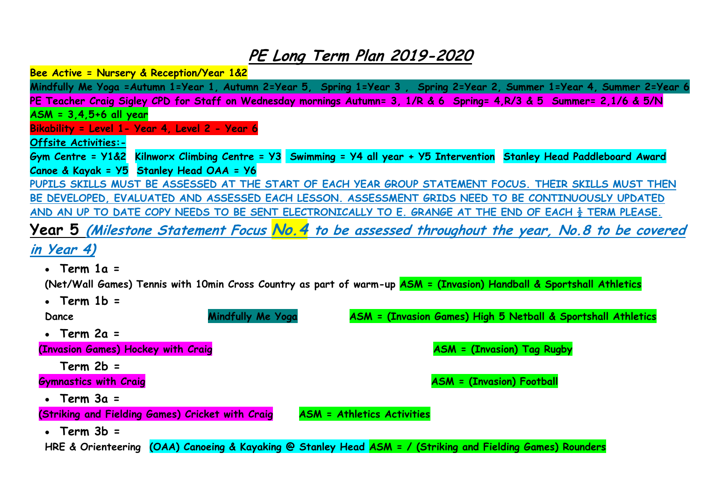**Bee Active = Nursery & Reception/Year 1&2** 

**Mindfully Me Yoga =Autumn 1=Year 1, Autumn 2=Year 5, Spring 1=Year 3 , Spring 2=Year 2, Summer 1=Year 4, Summer 2=Year 6 PE Teacher Craig Sigley CPD for Staff on Wednesday mornings Autumn= 3, 1/R & 6 Spring= 4,R/3 & 5 Summer= 2,1/6 & 5/N ASM = 3,4,5+6 all year Bikability = Level 1- Year 4, Level 2 - Year 6 Offsite Activities:- Gym Centre = Y1&2 Kilnworx Climbing Centre = Y3 Swimming = Y4 all year + Y5 Intervention Stanley Head Paddleboard Award Canoe & Kayak = Y5 Stanley Head OAA = Y6 PUPILS SKILLS MUST BE ASSESSED AT THE START OF EACH YEAR GROUP STATEMENT FOCUS. THEIR SKILLS MUST THEN BE DEVELOPED, EVALUATED AND ASSESSED EACH LESSON. ASSESSMENT GRIDS NEED TO BE CONTINUOUSLY UPDATED AND AN UP TO DATE COPY NEEDS TO BE SENT ELECTRONICALLY TO E. GRANGE AT THE END OF EACH ½ TERM PLEASE. Year 5 (Milestone Statement Focus No.4 to be assessed throughout the year, No.8 to be covered in Year 4) Term 1a = Milestone Statement Focus No. 5 & 6 (ASM= 1, 5 & 6) (Net/Wall Games) Tennis with 10min Cross Country as part of warm-up ASM = (Invasion) Handball & Sportshall Athletics Term 1b = Milestone Statement Focus No. 1 & 3 (ASM= 1 & 3) Dance Mindfully Me Yoga ASM = (Invasion Games) High 5 Netball & Sportshall Athletics • Term 2a = (Invasion Games) Hockey with Craig ASM = (Invasion) Tag Rugby Term 2b = Milestone Statement Focus No. 5 & 7 (ASM= 5 & 6) Gymnastics with Craig Asmustics with Craig ASM = (Invasion) Football • Term 3a = (Striking and Fielding Games) Cricket with Craig ASM = Athletics Activities Term 3b = Milestone Statement Focus No. 1 & 6 (ASM= 5 & 6) HRE & Orienteering (OAA) Canoeing & Kayaking @ Stanley Head ASM = / (Striking and Fielding Games) Rounders**